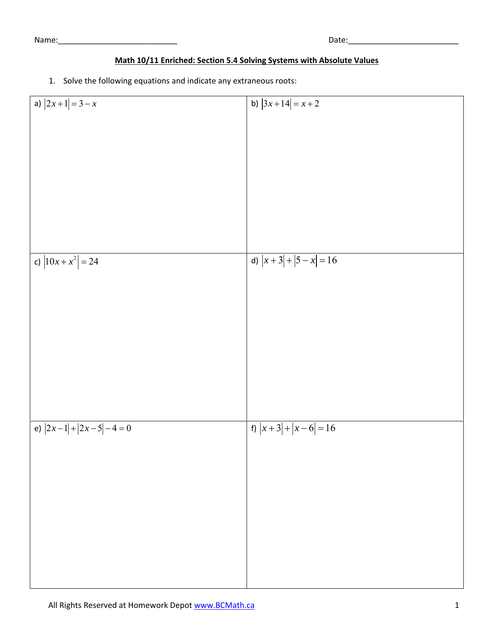Name:\_\_\_\_\_\_\_\_\_\_\_\_\_\_\_\_\_\_\_\_\_\_\_\_\_\_\_ Date:\_\_\_\_\_\_\_\_\_\_\_\_\_\_\_\_\_\_\_\_\_\_\_\_\_

## **Math 10/11 Enriched: Section 5.4 Solving Systems with Absolute Values**

1. Solve the following equations and indicate any extraneous roots:

| a) $ 2x+1 =3-x$        | b) $ 3x+14  = x+2$  |
|------------------------|---------------------|
|                        |                     |
|                        |                     |
|                        |                     |
|                        |                     |
|                        |                     |
|                        |                     |
|                        |                     |
|                        |                     |
|                        |                     |
|                        |                     |
|                        |                     |
|                        |                     |
|                        |                     |
|                        |                     |
| c) $ 10x + x^2  = 24$  | d) $ x+3 + 5-x =16$ |
|                        |                     |
|                        |                     |
|                        |                     |
|                        |                     |
|                        |                     |
|                        |                     |
|                        |                     |
|                        |                     |
|                        |                     |
|                        |                     |
|                        |                     |
|                        |                     |
|                        |                     |
|                        |                     |
|                        |                     |
|                        |                     |
| e) $ 2x-1 + 2x-5 -4=0$ | f) $ x+3 + x-6 =16$ |
|                        |                     |
|                        |                     |
|                        |                     |
|                        |                     |
|                        |                     |
|                        |                     |
|                        |                     |
|                        |                     |
|                        |                     |
|                        |                     |
|                        |                     |
|                        |                     |
|                        |                     |
|                        |                     |
|                        |                     |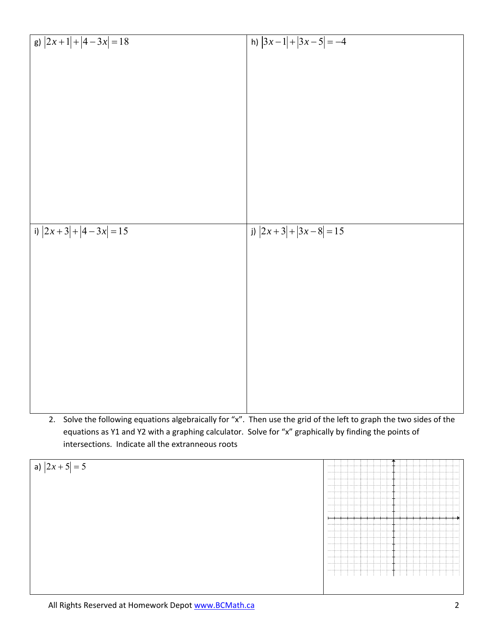| g) $ 2x+1 + 4-3x =18$ | h) $ 3x-1 + 3x-5 =-4$ |
|-----------------------|-----------------------|
|                       |                       |
|                       |                       |
|                       |                       |
|                       |                       |
|                       |                       |
|                       |                       |
|                       |                       |
|                       |                       |
|                       |                       |
|                       |                       |
| i) $ 2x+3 + 4-3x =15$ | j) $ 2x+3 + 3x-8 =15$ |
|                       |                       |
|                       |                       |
|                       |                       |
|                       |                       |
|                       |                       |
|                       |                       |
|                       |                       |
|                       |                       |
|                       |                       |
|                       |                       |
|                       |                       |

2. Solve the following equations algebraically for "x". Then use the grid of the left to graph the two sides of the equations as Y1 and Y2 with a graphing calculator. Solve for "x" graphically by finding the points of intersections. Indicate all the extranneous roots

| a) $ 2x+5 =5$ | <b>Accessitions</b> |
|---------------|---------------------|
|               | . 7.                |
|               |                     |
|               |                     |
|               |                     |
|               |                     |
|               |                     |
|               |                     |
|               | . \ \ \ \           |
|               | <b></b>             |
|               |                     |
|               |                     |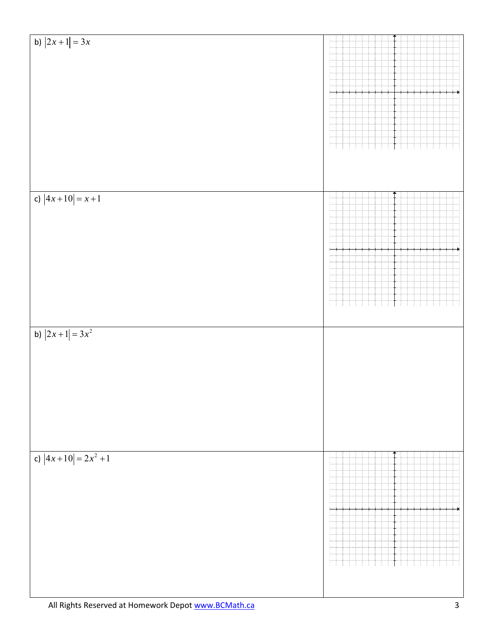| b) $ 2x+1  = 3x^2$<br>c) $ 4x+10 =2x^2+1$ | c) $ 4x+10 =x+1$ | b) $ 2x+1  = 3x$ |
|-------------------------------------------|------------------|------------------|
| +                                         |                  |                  |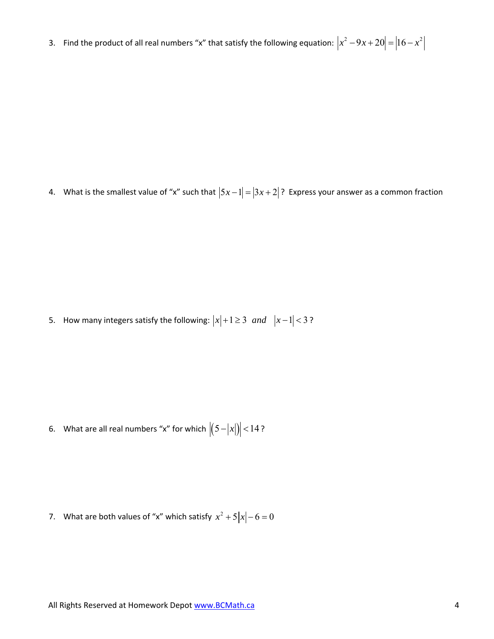3. Find the product of all real numbers "x" that satisfy the following equation:  $|x^2-9x+20|=|16-x^2|$ 

4. What is the smallest value of "x" such that  $|5x-1| = |3x+2|$ ? Express your answer as a common fraction

5. How many integers satisfy the following:  $|x|+1\geq 3$  *and*  $|x-1|<3$ ?

6. What are all real numbers "x" for which  $|(5 - |x|)| < 14$ ?

7. What are both values of "x" which satisfy  $x^2 + 5|x| - 6 = 0$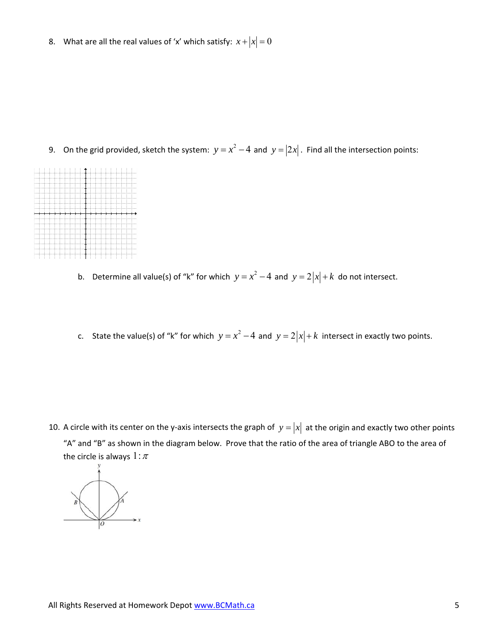8. What are all the real values of 'x' which satisfy:  $x + |x| = 0$ 

9. On the grid provided, sketch the system:  $y = x^2 - 4$  and  $y = |2x|$ . Find all the intersection points:



- b. Determine all value(s) of "k" for which  $y = x^2 4$  and  $y = 2|x| + k$  do not intersect.
- c. State the value(s) of "k" for which  $y = x^2 4$  and  $y = 2|x| + k$  intersect in exactly two points.

10. A circle with its center on the y-axis intersects the graph of  $y = |x|$  at the origin and exactly two other points "A" and "B" as shown in the diagram below. Prove that the ratio of the area of triangle ABO to the area of the circle is always  $1:\pi$